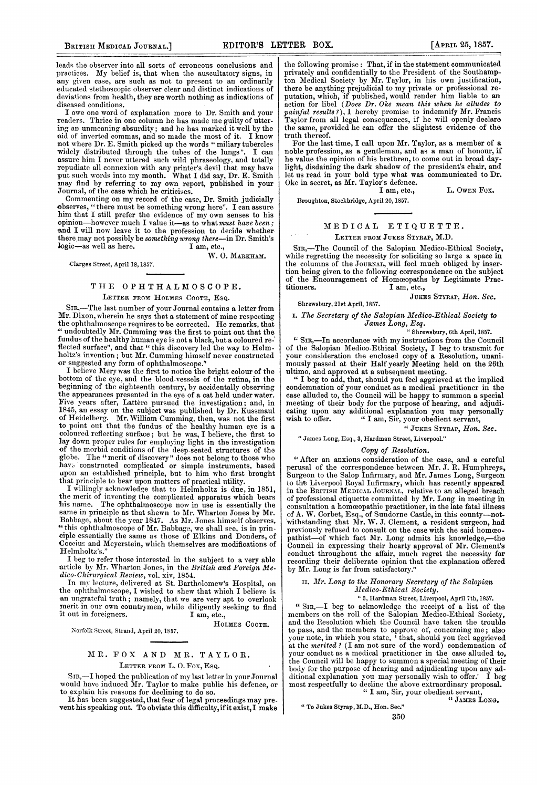leads the observer into all sorts of erroneous conclusions and practices. My belief is, that when the auscultatory signs, in any given case, are such as not to present to an ordinarily educated stethoscopic observer clear and distinct indications of deviations from health, they are worth nothing as indications of diseased conditions.

I owe one word of explanation more to Dr. Smith and your readers. Thrice in one column he has made me guilty of uttering an unmeaning absurdity; and he has marked it well by the aid of inverted commas, and so made the most of it. not where Dr. E. Smith picked up the words " miliary tubercles widely distributed through the tubes of the lungs". assure him I never uttered such wild phraseology, and totally repudiate all connexion with any printer's devil that may have put such words into my mouth. What <sup>I</sup> did say, Dr. E. Smith may find by referring to my own report, published in your<br>Journal, of the case which he criticises.

Commenting on my record of the case, Dr. Smith judicially ebserves, " there must be something wrong here". I can assure him that <sup>I</sup> still prefer the evidence of my own senses to his opinion-however much I value it-as to what must have been; and I will now leave it to the profession to decide whether there may not possibly be something wrong there-in Dr. Smith's  $logic$ -as well as here. I am, etc., logic-as well as here.

W. O. MARKHAM.

CIarges Street, April 18,1857.

#### THE OPHTHALMOSCOPE. LETTER FROM HOLMES COOTE, ESQ.

SIR,-The last number of your Journal contains a letter from Mr. Dixon, wherein he says that a statement of mine respecting the ophthalmoscope requires to be corrected. He remarks, that " undoubtedly Mr. Cumming was the first to point out that the fundus of the healthy human eye is not a black, hut a coloured re-' flected surface", and that " this discovery led the way to Helm-holtz's inventiorn; but Mr. Cumming himself never constructed

or suiggested any form of ophthalmoscope." I believe Mery was the first to notice the bright colour of the bottom of the eye, and the blood-vessels of the retina, in the beginning of the eighteenth century, by accidentally observing the appearances presented in the eye of a cat held under water. Five years after, Lattere pursued the investigation; and, in 1845, an essay on the subject was published by Dr. Kussmaul of Heidelberg. Mr. William Cumming, then, was not the first to point out that the fundus of the healthy human eve is a coloured reflecting surface; but he was, I believe, the first to lay down proper rules for employing light in the investigation of the morbid conditions of the deep-seated structures of the globe. The "merit of discovery" does not belong to those who have constructed complicated or simple instruments, based upon an established principle, but to him who first brought that principle to bear upon matters of prac

I willingly acknowledge that to Helmholtz is due, in 1851, the merit of inventing the complicated apparatus which bears<br>his name. The ophthalmoscone now in use is essentially the The ophthalmoscope now in use is essentially the same in principle as that shewn to Mr. Wharton Jones by Mr. Babbage, about the year 1847. As Mr. Jones himself observes, "this ophthalmoscope of Mr. Babbage, we shall see, is in principle essentially the same as those of E Helmholtz's.

I beg to refer those interested in the subject to a very able article by Mr. Wharton Jones, in the British and Foreign Medico-Chirurgical Review, vol. xiv, 1854.

In my lecture, delivered at St. Bartholomew's Hospital, on the ophthalmoscope, I wislhed to shew that which I believe is \*an ungrateful truth; namely, that we are very apt to overlook merit in our own countrymen, while diligently seeking to find it out in foreigners. I am, etc., it out in foreigners.

Norfolk Street, Strand, April 20, 1857.

## MR. FOX AND MR. TAYLOR. LETTER FROM L.O. Fox, Esq.

HOLMES COOTE.

SIR,-I hoped the publication of my last letter in your Journal would have induced Mr. Taylor to make public his defence, or

to explain his reasons for declining to do so.<br>It has been suggested, that fear of legal proceedings may pre-<br>vent his speaking out. To obviate this difficulty, if it exist, I make

the following promise: That, if in the statement communicated privately and confidentially to the President of the Southampton Medical Society by Mr. Taylor, in his own justification, there be anything prejudicial to my private or professional reputation, which, if published, would render him liable to an action for libel (Does Dr. Oke mean this when he alludes to painful results?), I hereby promise to indemnify Mr. Francis<br>Taylor from all legal consequences, if he will openly declare the same, provided he can offer the slightest evidence of the truth thereof.

For the last time, I call upon Mr. Taylor, as a member of a noble profession, as a gentleman, and as a man of honour, if<br>he value the opinion of his brethren, to come out in broad day-<br>light, disdaining the dark shadow of the president's chair, and let us read in your bold type what was communicated to Dr. Oke in secret, as Mr. Taylor's defence.

I am, etc., L. OWEN FOX.

Broughton, Stockbridge, April 20, 1857.

Shrewsbury, 21st April, 1857.

#### IMEDICAL ETIQUETTE.

#### LETTER FROM JUKES STYRAP, M.D.

SiR,-The Council of the Salopian Medico-Ethical Society, while regretting the necessity for soliciting so large a space in the columns of the JOURNAL, will feel much obliged by inser-tion being given to the following correspondence on the subject of the Encouragement of Homceopaths by Legitimate Practitioners.<br>
I am. etc.. I am. etc.,

JUKES STYRAP, Hon. Sec.

# i. The Secretary of the Salopian Medico-Ethical Society to James Long, Esq. " Shrewsbury, 6th April, 1857.

"SIn,-In accordance with my instructions from the Council of the Salopian Medico-Etbical Society, I beg to transmit for your consideration the enclosed copy of a Resolution, unanimously passed at their Half-yearly Meeting held on the 26th ultimo, and approved at a subsequent meeting.

" I beg to add, that, should you feel aggrieved at the implied condemnation of your conduct as a medical practitioner in the case alluded to, the Council will be happy to summon a special meeting of their body for the purpose of hearing, and adjudicating upon any additional explanation you may personally wish to offer. "I am. Sir, your obedient servant. " I am, Sir, your obedient servant,

" JUKES STYRAP, Hon. Sec.

"James Long, Esq., 3, Hardman Street, Liverpool."

## Copy of Resolution.

"After an anxious consideration of the case, and a careful perusal of the correspondence between Mr. J. R. Humphreys, Surgeon to the Salop Infirmary, and Mr. James Long, Surgeon to the Liverpool Royal Infirmary, which has recently appeared in the BRITISH MEDICAL JOURNAL, relative to an alleged breach of professional etiquette committed by Mr. Long in meeting in consultation a homceopathic practitioner, in the late fatal illness of A. W. Corbet, Esq., of Sundorne Castle, in this county-not- 'Withstanding that Mr. W. J. Clement, a resident surgeon, had previously refused to consult on the case with the said homceopathist-of which fact Mr. Long admits his knowledge,-Council in expressing their hearty approval of Mr. Clement's conduct throughout the affair, much regret the necessity for recording their deliberate opinion that the explanation offered by Mr. Long is far from satisfactory."

#### II. Mr. Long to the Honorary Secretary of the Salopian Medico-Ethical Society.

" 3, Hardman Street, Liverpool, April 7th, 1857.

"SIR,-I beg to acknowledge the receipt of a list of the members on the roll of the Salopian Medico-Ethical Society, and the Resolution which the Council have taken the trouble to pass, and the members to approve of, concerning me; also your note, in which you state, ' that, should you feel aggrieved at the merited ? (I am not sure of the word) condemnation of your conduct as a medical practitioner in the case alluded to, the Council will be happy to summon <sup>a</sup> special meeting of their body for the purpose of hearing and adjudicating upon any additional explanation you may personally wish to offer.' I beg<br>most respectfully to decline the above extraordinary proposal.<br>"I am, Sir, your obedient servant,<br>"I am, Sir, your obedient servant,

"To Jukes Styrap, M.D., Hon. Sec."

350